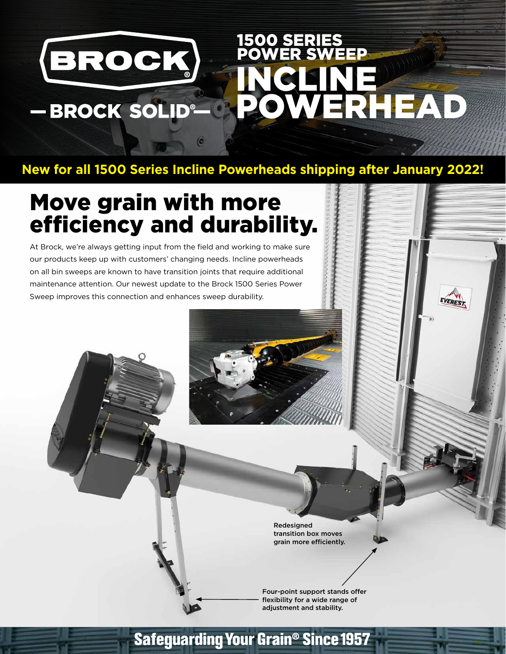# 1500 SERIES BROCK POWER SWEEP INCLINE POWERHEAD - BROCK SOLID®

EVEREST

# **New for all 1500 Series Incline Powerheads shipping after January 2022!**

# Move grain with more efficiency and durability.

At Brock, we're always getting input from the field and working to make sure our products keep up with customers' changing needs. Incline powerheads on all bin sweeps are known to have transition joints that require additional maintenance attention. Our newest update to the Brock 1500 Series Power Sweep improves this connection and enhances sweep durability.

> Redesigned transition box moves grain more efficiently.

Four-point support stands offer flexibility for a wide range of adjustment and stability.

# **Safeguarding Your Grain<sup>®</sup> Since 1957**